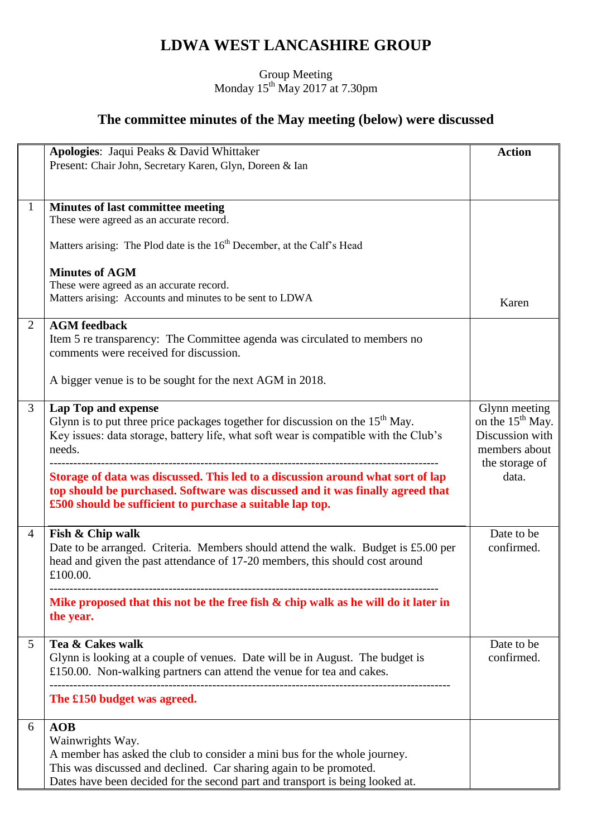## **LDWA WEST LANCASHIRE GROUP**

## Group Meeting Monday  $15^{th}$  May 2017 at 7.30pm

## **The committee minutes of the May meeting (below) were discussed**

|                | Apologies: Jaqui Peaks & David Whittaker                                                                                                    | <b>Action</b>                |
|----------------|---------------------------------------------------------------------------------------------------------------------------------------------|------------------------------|
|                | Present: Chair John, Secretary Karen, Glyn, Doreen & Ian                                                                                    |                              |
|                |                                                                                                                                             |                              |
| $\mathbf{1}$   | Minutes of last committee meeting                                                                                                           |                              |
|                | These were agreed as an accurate record.                                                                                                    |                              |
|                |                                                                                                                                             |                              |
|                | Matters arising: The Plod date is the 16 <sup>th</sup> December, at the Calf's Head                                                         |                              |
|                |                                                                                                                                             |                              |
|                | <b>Minutes of AGM</b><br>These were agreed as an accurate record.                                                                           |                              |
|                | Matters arising: Accounts and minutes to be sent to LDWA                                                                                    | Karen                        |
|                |                                                                                                                                             |                              |
| 2              | <b>AGM</b> feedback                                                                                                                         |                              |
|                | Item 5 re transparency: The Committee agenda was circulated to members no                                                                   |                              |
|                | comments were received for discussion.                                                                                                      |                              |
|                | A bigger venue is to be sought for the next AGM in 2018.                                                                                    |                              |
|                |                                                                                                                                             |                              |
| 3              | Lap Top and expense                                                                                                                         | Glynn meeting                |
|                | Glynn is to put three price packages together for discussion on the $15th$ May.                                                             | on the 15 <sup>th</sup> May. |
|                | Key issues: data storage, battery life, what soft wear is compatible with the Club's                                                        | Discussion with              |
|                | needs.                                                                                                                                      | members about                |
|                |                                                                                                                                             | the storage of               |
|                | Storage of data was discussed. This led to a discussion around what sort of lap                                                             | data.                        |
|                | top should be purchased. Software was discussed and it was finally agreed that<br>£500 should be sufficient to purchase a suitable lap top. |                              |
|                |                                                                                                                                             |                              |
| $\overline{4}$ | Fish & Chip walk                                                                                                                            | Date to be                   |
|                | Date to be arranged. Criteria. Members should attend the walk. Budget is £5.00 per                                                          | confirmed.                   |
|                | head and given the past attendance of 17-20 members, this should cost around                                                                |                              |
|                | £100.00.                                                                                                                                    |                              |
|                |                                                                                                                                             |                              |
|                | Mike proposed that this not be the free fish & chip walk as he will do it later in<br>the year.                                             |                              |
|                |                                                                                                                                             |                              |
| 5              | Tea & Cakes walk                                                                                                                            | Date to be                   |
|                | Glynn is looking at a couple of venues. Date will be in August. The budget is                                                               | confirmed.                   |
|                | £150.00. Non-walking partners can attend the venue for tea and cakes.                                                                       |                              |
|                |                                                                                                                                             |                              |
|                | The £150 budget was agreed.                                                                                                                 |                              |
| 6              | AOB                                                                                                                                         |                              |
|                | Wainwrights Way.                                                                                                                            |                              |
|                | A member has asked the club to consider a mini bus for the whole journey.                                                                   |                              |
|                | This was discussed and declined. Car sharing again to be promoted.                                                                          |                              |
|                | Dates have been decided for the second part and transport is being looked at.                                                               |                              |